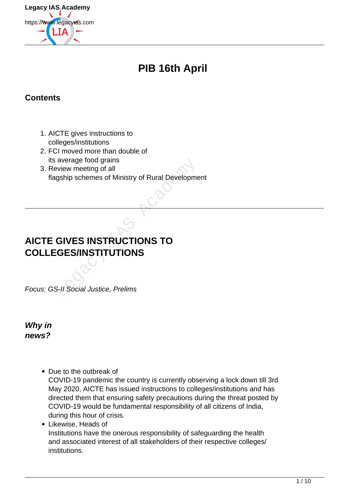

# **PIB 16th April**

# **Contents**

- 1. AICTE gives instructions to colleges/institutions
- 2. FCI moved more than double of its average food grains
- 3. Review meeting of all flagship schemes of Ministry of Rural Development

# **AICTE GIVES INSTRUCTIONS TO COLLEGES/INSTITUTIONS** average rood grains<br>
eview meeting of all<br>
gship schemes of Ministry of Rural Developme<br> **GIVES INSTRUCTIONS TO**<br> **CIVES INSTRUCTIONS TO**<br> **CIVES INSTRUCTIONS TO**<br> **CIVES INSTRUCTIONS**

Focus: GS-II Social Justice, Prelims

**Why in news?**

- Due to the outbreak of COVID-19 pandemic the country is currently observing a lock down till 3rd May 2020, AICTE has issued instructions to colleges/institutions and has directed them that ensuring safety precautions during the threat posted by COVID-19 would be fundamental responsibility of all citizens of India, during this hour of crisis.
- Likewise, Heads of Institutions have the onerous responsibility of safeguarding the health and associated interest of all stakeholders of their respective colleges/ institutions.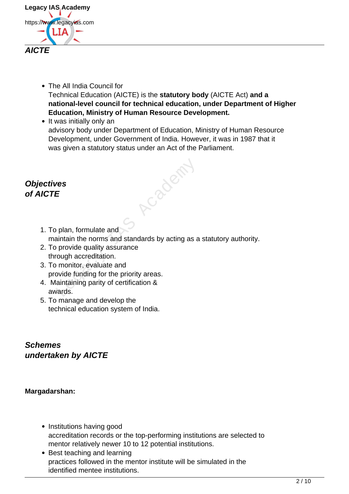

- The All India Council for Technical Education (AICTE) is the **statutory body** (AICTE Act) **and a national-level council for technical education, under Department of Higher Education, Ministry of Human Resource Development.**
- It was initially only an advisory body under Department of Education, Ministry of Human Resource Development, under Government of India. However, it was in 1987 that it was given a statutory status under an Act of the Parliament.

Cabacht

# **Objectives of AICTE**

- 1. To plan, formulate and maintain the norms and standards by acting as a statutory authority.
- 2. To provide quality assurance through accreditation.
- 3. To monitor, evaluate and provide funding for the priority areas.
- 4. Maintaining parity of certification & awards.
- 5. To manage and develop the technical education system of India.

**Schemes undertaken by AICTE**

### **Margadarshan:**

- Institutions having good accreditation records or the top-performing institutions are selected to mentor relatively newer 10 to 12 potential institutions.
- Best teaching and learning practices followed in the mentor institute will be simulated in the identified mentee institutions.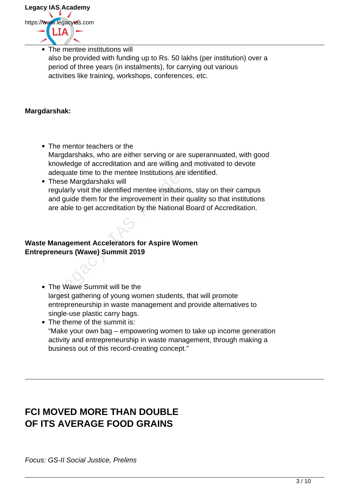

The mentee institutions will also be provided with funding up to Rs. 50 lakhs (per institution) over a period of three years (in instalments), for carrying out various activities like training, workshops, conferences, etc.

### **Margdarshak:**

- The mentor teachers or the Margdarshaks, who are either serving or are superannuated, with good knowledge of accreditation and are willing and motivated to devote adequate time to the mentee Institutions are identified.
- These Margdarshaks will regularly visit the identified mentee institutions, stay on their campus and guide them for the improvement in their quality so that institutions are able to get accreditation by the National Board of Accreditation. owledge of accreditation and are willing and m<br>
lequate time to the mentee Institutions are ider<br>
ese Margdarshaks will<br>
gularly visit the identified mentee institutions, s<br>
d guide them for the improvement in their qual<br>

### **Waste Management Accelerators for Aspire Women Entrepreneurs (Wawe) Summit 2019**

- The Wawe Summit will be the largest gathering of young women students, that will promote entrepreneurship in waste management and provide alternatives to single-use plastic carry bags.
- The theme of the summit is: "Make your own bag – empowering women to take up income generation activity and entrepreneurship in waste management, through making a business out of this record-creating concept."

# **FCI MOVED MORE THAN DOUBLE OF ITS AVERAGE FOOD GRAINS**

Focus: GS-II Social Justice, Prelims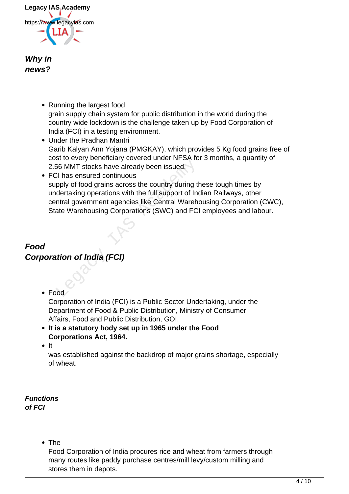

### **Why in news?**

- Running the largest food grain supply chain system for public distribution in the world during the country wide lockdown is the challenge taken up by Food Corporation of India (FCI) in a testing environment.
- Under the Pradhan Mantri Garib Kalyan Ann Yojana (PMGKAY), which provides 5 Kg food grains free of cost to every beneficiary covered under NFSA for 3 months, a quantity of 2.56 MMT stocks have already been issued.
- FCI has ensured continuous supply of food grains across the country during these tough times by undertaking operations with the full support of Indian Railways, other central government agencies like Central Warehousing Corporation (CWC), State Warehousing Corporations (SWC) and FCI employees and labour. St to every beneficially sovered ander NF ox to<br>56 MMT stocks have already been issued.<br>21 has ensured continuous<br>pply of food grains across the country during tile<br>dertaking operations with the full support of India<br>ate W

# **Food Corporation of India (FCI)**

Food

Corporation of India (FCI) is a Public Sector Undertaking, under the Department of Food & Public Distribution, Ministry of Consumer Affairs, Food and Public Distribution, GOI.

- **It is a statutory body set up in 1965 under the Food Corporations Act, 1964.**
- $\bullet$  It

was established against the backdrop of major grains shortage, especially of wheat.

**Functions of FCI**

• The

Food Corporation of India procures rice and wheat from farmers through many routes like paddy purchase centres/mill levy/custom milling and stores them in depots.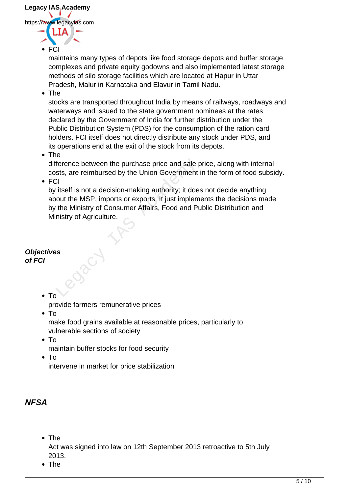

**FCI** 

maintains many types of depots like food storage depots and buffer storage complexes and private equity godowns and also implemented latest storage methods of silo storage facilities which are located at Hapur in Uttar Pradesh, Malur in Karnataka and Elavur in Tamil Nadu.

• The

stocks are transported throughout India by means of railways, roadways and waterways and issued to the state government nominees at the rates declared by the Government of India for further distribution under the Public Distribution System (PDS) for the consumption of the ration card holders. FCI itself does not directly distribute any stock under PDS, and its operations end at the exit of the stock from its depots.

• The

difference between the purchase price and sale price, along with internal costs, are reimbursed by the Union Government in the form of food subsidy.

 $\cdot$  FCI

by itself is not a decision-making authority; it does not decide anything about the MSP, imports or exports. It just implements the decisions made by the Ministry of Consumer Affairs, Food and Public Distribution and Ministry of Agriculture. Ference between the purchase price and sale prosess, are reimbursed by the Union Government<br>
Clarels and a decision-making authority; it does<br>
out the MSP, imports or exports. It just implem<br>
the Ministry of Consumer Affai

### **Objectives of FCI**

 $\bullet$  To

provide farmers remunerative prices

 $\bullet$  To

make food grains available at reasonable prices, particularly to vulnerable sections of society

- $\bullet$  To
	- maintain buffer stocks for food security
- $\bullet$  To

intervene in market for price stabilization

# **NFSA**

• The

Act was signed into law on 12th September 2013 retroactive to 5th July 2013.

• The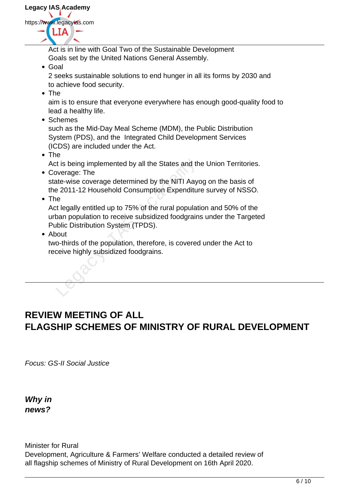

Act is in line with Goal Two of the Sustainable Development Goals set by the United Nations General Assembly.

Goal

2 seeks sustainable solutions to end hunger in all its forms by 2030 and to achieve food security.

• The

aim is to ensure that everyone everywhere has enough good-quality food to lead a healthy life.

Schemes

such as the Mid-Day Meal Scheme (MDM), the Public Distribution System (PDS), and the Integrated Child Development Services (ICDS) are included under the Act.

• The

Act is being implemented by all the States and the Union Territories.

- Coverage: The state-wise coverage determined by the NITI Aayog on the basis of the 2011-12 Household Consumption Expenditure survey of NSSO.
- The

Act legally entitled up to 75% of the rural population and 50% of the urban population to receive subsidized foodgrains under the Targeted Public Distribution System (TPDS). It is being implemented by all the States and the Werage: The<br>
Inte-wise coverage determined by the NITI Aaye<br>
Inte-wise coverage determined by the NITI Aaye<br>
It legally entitled up to 75% of the rural populat<br>
Despite the

• About

two-thirds of the population, therefore, is covered under the Act to receive highly subsidized foodgrains.

# **REVIEW MEETING OF ALL FLAGSHIP SCHEMES OF MINISTRY OF RURAL DEVELOPMENT**

Focus: GS-II Social Justice

**Why in news?**

Minister for Rural

Development, Agriculture & Farmers' Welfare conducted a detailed review of all flagship schemes of Ministry of Rural Development on 16th April 2020.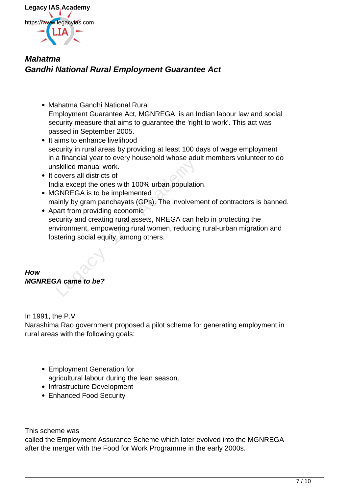

# **Mahatma Gandhi National Rural Employment Guarantee Act**

- Mahatma Gandhi National Rural Employment Guarantee Act, MGNREGA, is an Indian labour law and social security measure that aims to guarantee the 'right to work'. This act was passed in September 2005.
- It aims to enhance livelihood security in rural areas by providing at least 100 days of wage employment in a financial year to every household whose adult members volunteer to do unskilled manual work.
- It covers all districts of India except the ones with 100% urban population.
- MGNREGA is to be implemented mainly by gram panchayats (GPs). The involvement of contractors is banned.
- Apart from providing economic security and creating rural assets, NREGA can help in protecting the environment, empowering rural women, reducing rural-urban migration and fostering social equity, among others. a manional year to every heasencid whose date<br>skilled manual work.<br>covers all districts of<br>dia except the ones with 100% urban population<br>SNREGA is to be implemented<br>ainly by gram panchayats (GPs). The involvem<br>part from p

# **How MGNREGA came to be?**

In 1991, the P.V

Narashima Rao government proposed a pilot scheme for generating employment in rural areas with the following goals:

- Employment Generation for agricultural labour during the lean season.
- Infrastructure Development
- Enhanced Food Security

This scheme was

called the Employment Assurance Scheme which later evolved into the MGNREGA after the merger with the Food for Work Programme in the early 2000s.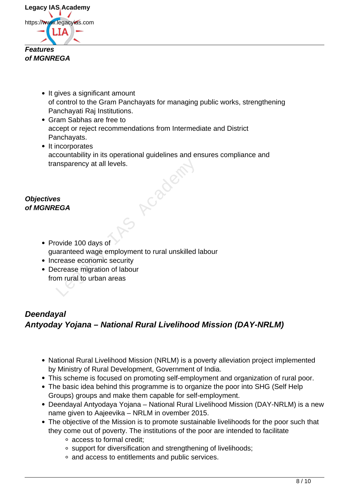

- It gives a significant amount of control to the Gram Panchayats for managing public works, strengthening Panchayati Raj Institutions.
- Gram Sabhas are free to accept or reject recommendations from Intermediate and District Panchayats.
- It incorporates accountability in its operational guidelines and ensures compliance and transparency at all levels.

Acade

### **Objectives of MGNREGA**

- Provide 100 days of guaranteed wage employment to rural unskilled labour
- Increase economic security
- Decrease migration of labour from rural to urban areas

# **Deendayal Antyoday Yojana – National Rural Livelihood Mission (DAY-NRLM)**

- National Rural Livelihood Mission (NRLM) is a poverty alleviation project implemented by Ministry of Rural Development, Government of India.
- This scheme is focused on promoting self-employment and organization of rural poor.
- The basic idea behind this programme is to organize the poor into SHG (Self Help Groups) groups and make them capable for self-employment.
- Deendayal Antyodaya Yojana National Rural Livelihood Mission (DAY-NRLM) is a new name given to Aajeevika – NRLM in ovember 2015.
- The objective of the Mission is to promote sustainable livelihoods for the poor such that they come out of poverty. The institutions of the poor are intended to facilitate
	- access to formal credit;
	- support for diversification and strengthening of livelihoods;
	- and access to entitlements and public services.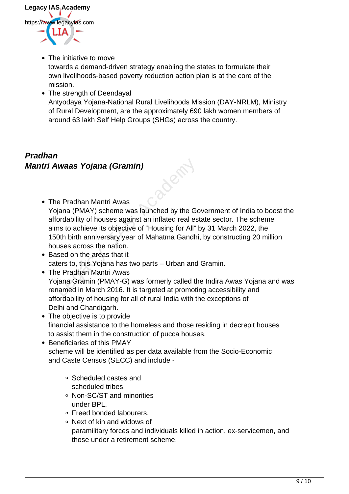

• The initiative to move

towards a demand-driven strategy enabling the states to formulate their own livelihoods-based poverty reduction action plan is at the core of the mission.

• The strength of Deendayal Antyodaya Yojana-National Rural Livelihoods Mission (DAY-NRLM), Ministry of Rural Development, are the approximately 690 lakh women members of around 63 lakh Self Help Groups (SHGs) across the country.

# **Pradhan Mantri Awaas Yojana (Gramin)**

The Pradhan Mantri Awas

Yojana (PMAY) scheme was launched by the Government of India to boost the affordability of houses against an inflated real estate sector. The scheme aims to achieve its objective of "Housing for All" by 31 March 2022, the 150th birth anniversary year of Mahatma Gandhi, by constructing 20 million houses across the nation. **Awaas Yojana (Gramin)**<br>
Lee Pradhan Mantri Awas<br>
Digna (PMAY) scheme was launched by the Gotordability of houses against an inflated real es<br>
ms to achieve its objective of "Housing for All" I<br>
Oth birth anniversary year

- Based on the areas that it caters to, this Yojana has two parts – Urban and Gramin.
- The Pradhan Mantri Awas Yojana Gramin (PMAY-G) was formerly called the Indira Awas Yojana and was renamed in March 2016. It is targeted at promoting accessibility and affordability of housing for all of rural India with the exceptions of Delhi and Chandigarh.
- The objective is to provide financial assistance to the homeless and those residing in decrepit houses to assist them in the construction of pucca houses.
- Beneficiaries of this PMAY scheme will be identified as per data available from the Socio-Economic and Caste Census (SECC) and include -
	- Scheduled castes and scheduled tribes.
	- Non-SC/ST and minorities under BPL.
	- Freed bonded labourers.
	- Next of kin and widows of paramilitary forces and individuals killed in action, ex-servicemen, and those under a retirement scheme.